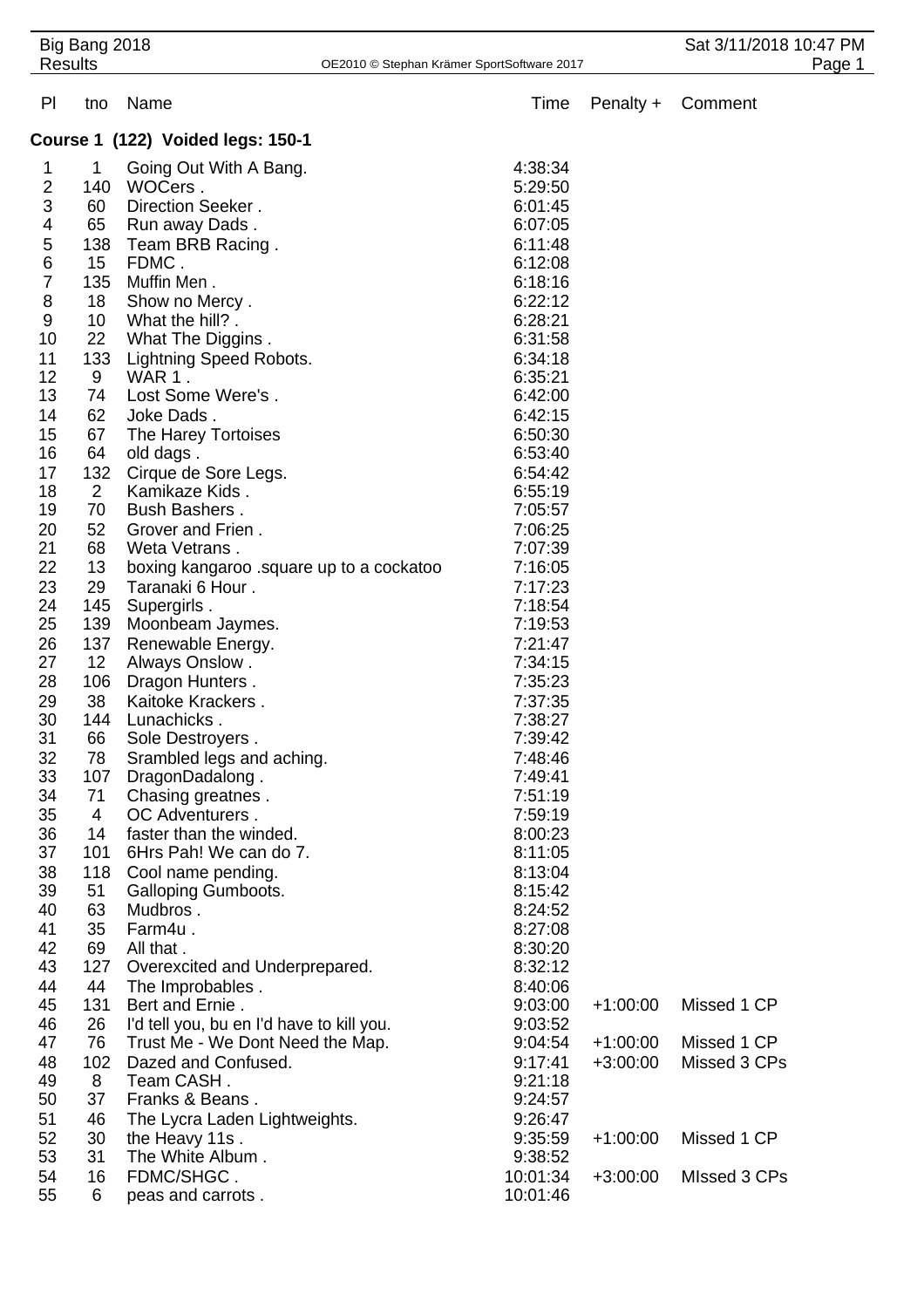|                        | Big Bang 2018<br><b>Results</b> |                                           | OE2010 © Stephan Krämer SportSoftware 2017 |            |              | Sat 3/11/2018 10:47 PM<br>Page 1 |  |  |
|------------------------|---------------------------------|-------------------------------------------|--------------------------------------------|------------|--------------|----------------------------------|--|--|
|                        |                                 |                                           |                                            |            |              |                                  |  |  |
| PI                     | tno                             | Name                                      | Time                                       | Penalty +  | Comment      |                                  |  |  |
|                        |                                 | Course 1 (122) Voided legs: 150-1         |                                            |            |              |                                  |  |  |
| 1                      | 1                               | Going Out With A Bang.                    | 4:38:34                                    |            |              |                                  |  |  |
| $\overline{c}$         | 140                             | WOCers.                                   | 5:29:50                                    |            |              |                                  |  |  |
| 3                      | 60                              | Direction Seeker.                         | 6:01:45                                    |            |              |                                  |  |  |
| 4                      | 65                              | Run away Dads.                            | 6:07:05                                    |            |              |                                  |  |  |
| 5                      | 138                             | Team BRB Racing.                          | 6:11:48                                    |            |              |                                  |  |  |
| $\,$ 6 $\,$            | 15                              | FDMC.                                     | 6:12:08                                    |            |              |                                  |  |  |
| 7                      | 135                             | Muffin Men.                               | 6:18:16                                    |            |              |                                  |  |  |
| 8                      | 18                              | Show no Mercy.                            | 6:22:12                                    |            |              |                                  |  |  |
| $\boldsymbol{9}$<br>10 | 10<br>22                        | What the hill?.<br>What The Diggins.      | 6:28:21<br>6:31:58                         |            |              |                                  |  |  |
| 11                     | 133                             | <b>Lightning Speed Robots.</b>            | 6:34:18                                    |            |              |                                  |  |  |
| 12                     | 9                               | WAR 1.                                    | 6:35:21                                    |            |              |                                  |  |  |
| 13                     | 74                              | Lost Some Were's.                         | 6:42:00                                    |            |              |                                  |  |  |
| 14                     | 62                              | Joke Dads.                                | 6:42:15                                    |            |              |                                  |  |  |
| 15                     | 67                              | The Harey Tortoises                       | 6:50:30                                    |            |              |                                  |  |  |
| 16                     | 64                              | old dags.                                 | 6:53:40                                    |            |              |                                  |  |  |
| 17                     | 132                             | Cirque de Sore Legs.                      | 6:54:42                                    |            |              |                                  |  |  |
| 18                     | $\overline{2}$                  | Kamikaze Kids.                            | 6:55:19                                    |            |              |                                  |  |  |
| 19                     | 70                              | Bush Bashers.                             | 7:05:57                                    |            |              |                                  |  |  |
| 20                     | 52                              | Grover and Frien.                         | 7:06:25                                    |            |              |                                  |  |  |
| 21                     | 68                              | Weta Vetrans.                             | 7:07:39                                    |            |              |                                  |  |  |
| 22                     | 13                              | boxing kangaroo .square up to a cockatoo  | 7:16:05                                    |            |              |                                  |  |  |
| 23                     | 29                              | Taranaki 6 Hour.                          | 7:17:23                                    |            |              |                                  |  |  |
| 24<br>25               | 145<br>139                      | Supergirls.                               | 7:18:54<br>7:19:53                         |            |              |                                  |  |  |
| 26                     | 137                             | Moonbeam Jaymes.<br>Renewable Energy.     | 7:21:47                                    |            |              |                                  |  |  |
| 27                     | 12                              | Always Onslow.                            | 7:34:15                                    |            |              |                                  |  |  |
| 28                     | 106                             | Dragon Hunters.                           | 7:35:23                                    |            |              |                                  |  |  |
| 29                     | 38                              | Kaitoke Krackers.                         | 7:37:35                                    |            |              |                                  |  |  |
| 30                     | 144                             | Lunachicks.                               | 7:38:27                                    |            |              |                                  |  |  |
| 31                     | 66                              | Sole Destroyers.                          | 7:39:42                                    |            |              |                                  |  |  |
| 32                     | 78                              | Srambled legs and aching.                 | 7:48:46                                    |            |              |                                  |  |  |
| 33                     | 107                             | DragonDadalong.                           | 7:49:41                                    |            |              |                                  |  |  |
| 34                     | 71                              | Chasing greatnes.                         | 7:51:19                                    |            |              |                                  |  |  |
| 35                     | $\overline{4}$                  | OC Adventurers.                           | 7:59:19                                    |            |              |                                  |  |  |
| 36                     | 14                              | faster than the winded.                   | 8:00:23                                    |            |              |                                  |  |  |
| 37                     | 101                             | 6Hrs Pah! We can do 7.                    | 8:11:05                                    |            |              |                                  |  |  |
| 38<br>39               | 118<br>51                       | Cool name pending.<br>Galloping Gumboots. | 8:13:04<br>8:15:42                         |            |              |                                  |  |  |
| 40                     | 63                              | Mudbros.                                  | 8:24:52                                    |            |              |                                  |  |  |
| 41                     | 35                              | Farm4u.                                   | 8:27:08                                    |            |              |                                  |  |  |
| 42                     | 69                              | All that.                                 | 8:30:20                                    |            |              |                                  |  |  |
| 43                     | 127                             | Overexcited and Underprepared.            | 8:32:12                                    |            |              |                                  |  |  |
| 44                     | 44                              | The Improbables.                          | 8:40:06                                    |            |              |                                  |  |  |
| 45                     | 131                             | Bert and Ernie.                           | 9:03:00                                    | $+1:00:00$ | Missed 1 CP  |                                  |  |  |
| 46                     | 26                              | I'd tell you, bu en I'd have to kill you. | 9:03:52                                    |            |              |                                  |  |  |
| 47                     | 76                              | Trust Me - We Dont Need the Map.          | 9:04:54                                    | $+1:00:00$ | Missed 1 CP  |                                  |  |  |
| 48                     | 102                             | Dazed and Confused.                       | 9:17:41                                    | $+3:00:00$ | Missed 3 CPs |                                  |  |  |
| 49                     | 8                               | Team CASH.                                | 9:21:18                                    |            |              |                                  |  |  |
| 50                     | 37                              | Franks & Beans.                           | 9:24:57                                    |            |              |                                  |  |  |
| 51<br>52               | 46<br>30                        | The Lycra Laden Lightweights.             | 9:26:47<br>9:35:59                         | $+1:00:00$ | Missed 1 CP  |                                  |  |  |
| 53                     | 31                              | the Heavy 11s.<br>The White Album.        | 9:38:52                                    |            |              |                                  |  |  |
| 54                     | 16                              | FDMC/SHGC.                                | 10:01:34                                   | $+3:00:00$ | Missed 3 CPs |                                  |  |  |
| 55                     | 6                               | peas and carrots.                         | 10:01:46                                   |            |              |                                  |  |  |